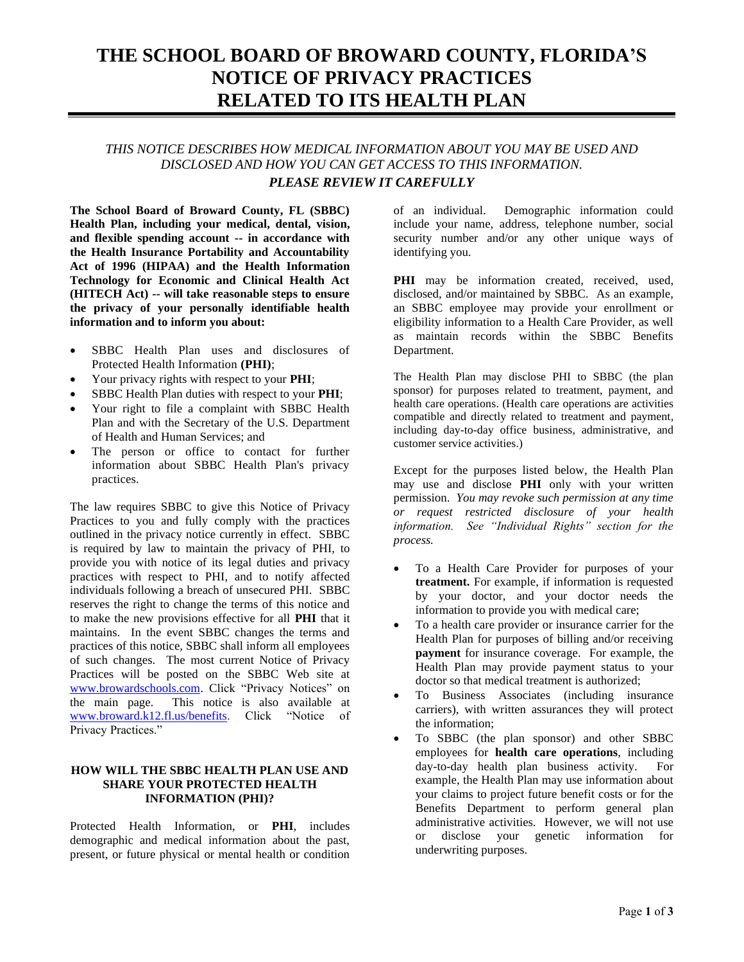# **THE SCHOOL BOARD OF BROWARD COUNTY, FLORIDA'S NOTICE OF PRIVACY PRACTICES RELATED TO ITS HEALTH PLAN**

## *THIS NOTICE DESCRIBES HOW MEDICAL INFORMATION ABOUT YOU MAY BE USED AND DISCLOSED AND HOW YOU CAN GET ACCESS TO THIS INFORMATION. PLEASE REVIEW IT CAREFULLY*

**The School Board of Broward County, FL (SBBC) Health Plan, including your medical, dental, vision, and flexible spending account -- in accordance with the Health Insurance Portability and Accountability Act of 1996 (HIPAA) and the Health Information Technology for Economic and Clinical Health Act (HITECH Act) -- will take reasonable steps to ensure the privacy of your personally identifiable health information and to inform you about:**

- SBBC Health Plan uses and disclosures of Protected Health Information **(PHI)**;
- Your privacy rights with respect to your **PHI**;
- SBBC Health Plan duties with respect to your **PHI**;
- Your right to file a complaint with SBBC Health Plan and with the Secretary of the U.S. Department of Health and Human Services; and
- The person or office to contact for further information about SBBC Health Plan's privacy practices.

The law requires SBBC to give this Notice of Privacy Practices to you and fully comply with the practices outlined in the privacy notice currently in effect. SBBC is required by law to maintain the privacy of PHI, to provide you with notice of its legal duties and privacy practices with respect to PHI, and to notify affected individuals following a breach of unsecured PHI. SBBC reserves the right to change the terms of this notice and to make the new provisions effective for all **PHI** that it maintains. In the event SBBC changes the terms and practices of this notice, SBBC shall inform all employees of such changes. The most current Notice of Privacy Practices will be posted on the SBBC Web site at www.browardschools.com. Click "Privacy Notices" on the main page. This notice is also available at This notice is also available at www.broward.k12.fl.us/benefits. Click "Notice of Privacy Practices."

### **HOW WILL THE SBBC HEALTH PLAN USE AND SHARE YOUR PROTECTED HEALTH INFORMATION (PHI)?**

Protected Health Information, or **PHI**, includes demographic and medical information about the past, present, or future physical or mental health or condition of an individual. Demographic information could include your name, address, telephone number, social security number and/or any other unique ways of identifying you.

PHI may be information created, received, used, disclosed, and/or maintained by SBBC. As an example, an SBBC employee may provide your enrollment or eligibility information to a Health Care Provider, as well as maintain records within the SBBC Benefits Department.

The Health Plan may disclose PHI to SBBC (the plan sponsor) for purposes related to treatment, payment, and health care operations. (Health care operations are activities compatible and directly related to treatment and payment, including day-to-day office business, administrative, and customer service activities.)

Except for the purposes listed below, the Health Plan may use and disclose **PHI** only with your written permission. *You may revoke such permission at any time or request restricted disclosure of your health information. See "Individual Rights" section for the process.*

- To a Health Care Provider for purposes of your **treatment.** For example, if information is requested by your doctor, and your doctor needs the information to provide you with medical care;
- To a health care provider or insurance carrier for the Health Plan for purposes of billing and/or receiving **payment** for insurance coverage. For example, the Health Plan may provide payment status to your doctor so that medical treatment is authorized;
- To Business Associates (including insurance carriers), with written assurances they will protect the information;
- To SBBC (the plan sponsor) and other SBBC employees for **health care operations**, including day-to-day health plan business activity. For example, the Health Plan may use information about your claims to project future benefit costs or for the Benefits Department to perform general plan administrative activities. However, we will not use or disclose your genetic information for underwriting purposes.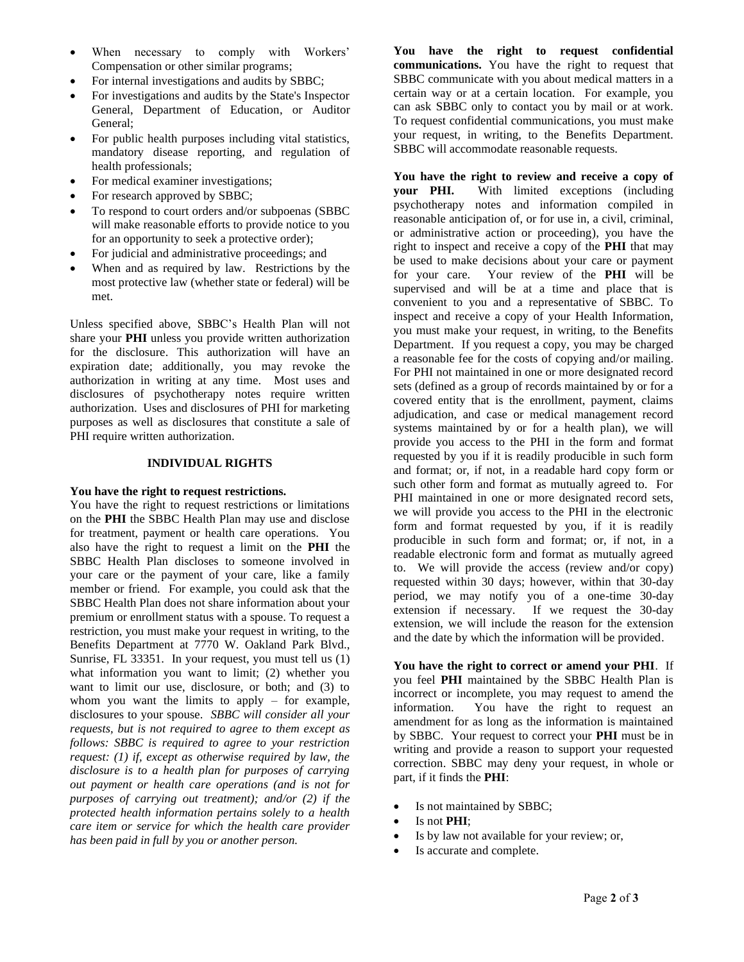- When necessary to comply with Workers' Compensation or other similar programs;
- For internal investigations and audits by SBBC;
- For investigations and audits by the State's Inspector General, Department of Education, or Auditor General;
- For public health purposes including vital statistics, mandatory disease reporting, and regulation of health professionals;
- For medical examiner investigations;
- For research approved by SBBC;
- To respond to court orders and/or subpoenas (SBBC will make reasonable efforts to provide notice to you for an opportunity to seek a protective order);
- For judicial and administrative proceedings; and
- When and as required by law. Restrictions by the most protective law (whether state or federal) will be met.

Unless specified above, SBBC's Health Plan will not share your **PHI** unless you provide written authorization for the disclosure. This authorization will have an expiration date; additionally, you may revoke the authorization in writing at any time. Most uses and disclosures of psychotherapy notes require written authorization. Uses and disclosures of PHI for marketing purposes as well as disclosures that constitute a sale of PHI require written authorization.

### **INDIVIDUAL RIGHTS**

### **You have the right to request restrictions.**

You have the right to request restrictions or limitations on the **PHI** the SBBC Health Plan may use and disclose for treatment, payment or health care operations. You also have the right to request a limit on the **PHI** the SBBC Health Plan discloses to someone involved in your care or the payment of your care, like a family member or friend. For example, you could ask that the SBBC Health Plan does not share information about your premium or enrollment status with a spouse. To request a restriction, you must make your request in writing, to the Benefits Department at 7770 W. Oakland Park Blvd., Sunrise, FL 33351. In your request, you must tell us (1) what information you want to limit; (2) whether you want to limit our use, disclosure, or both; and (3) to whom you want the limits to apply – for example, disclosures to your spouse. *SBBC will consider all your requests, but is not required to agree to them except as follows: SBBC is required to agree to your restriction request: (1) if, except as otherwise required by law, the disclosure is to a health plan for purposes of carrying out payment or health care operations (and is not for purposes of carrying out treatment); and/or (2) if the protected health information pertains solely to a health care item or service for which the health care provider has been paid in full by you or another person.*

**You have the right to request confidential communications.** You have the right to request that SBBC communicate with you about medical matters in a certain way or at a certain location. For example, you can ask SBBC only to contact you by mail or at work. To request confidential communications, you must make your request, in writing, to the Benefits Department. SBBC will accommodate reasonable requests.

**You have the right to review and receive a copy of your PHI.** With limited exceptions (including psychotherapy notes and information compiled in reasonable anticipation of, or for use in, a civil, criminal, or administrative action or proceeding), you have the right to inspect and receive a copy of the **PHI** that may be used to make decisions about your care or payment for your care. Your review of the **PHI** will be supervised and will be at a time and place that is convenient to you and a representative of SBBC. To inspect and receive a copy of your Health Information, you must make your request, in writing, to the Benefits Department. If you request a copy, you may be charged a reasonable fee for the costs of copying and/or mailing. For PHI not maintained in one or more designated record sets (defined as a group of records maintained by or for a covered entity that is the enrollment, payment, claims adjudication, and case or medical management record systems maintained by or for a health plan), we will provide you access to the PHI in the form and format requested by you if it is readily producible in such form and format; or, if not, in a readable hard copy form or such other form and format as mutually agreed to. For PHI maintained in one or more designated record sets, we will provide you access to the PHI in the electronic form and format requested by you, if it is readily producible in such form and format; or, if not, in a readable electronic form and format as mutually agreed to. We will provide the access (review and/or copy) requested within 30 days; however, within that 30-day period, we may notify you of a one-time 30-day extension if necessary. If we request the 30-day extension, we will include the reason for the extension and the date by which the information will be provided.

**You have the right to correct or amend your PHI**. If you feel **PHI** maintained by the SBBC Health Plan is incorrect or incomplete, you may request to amend the information. You have the right to request an amendment for as long as the information is maintained by SBBC. Your request to correct your **PHI** must be in writing and provide a reason to support your requested correction. SBBC may deny your request, in whole or part, if it finds the **PHI**:

- Is not maintained by SBBC;
- Is not **PHI**;
- Is by law not available for your review; or,
- Is accurate and complete.